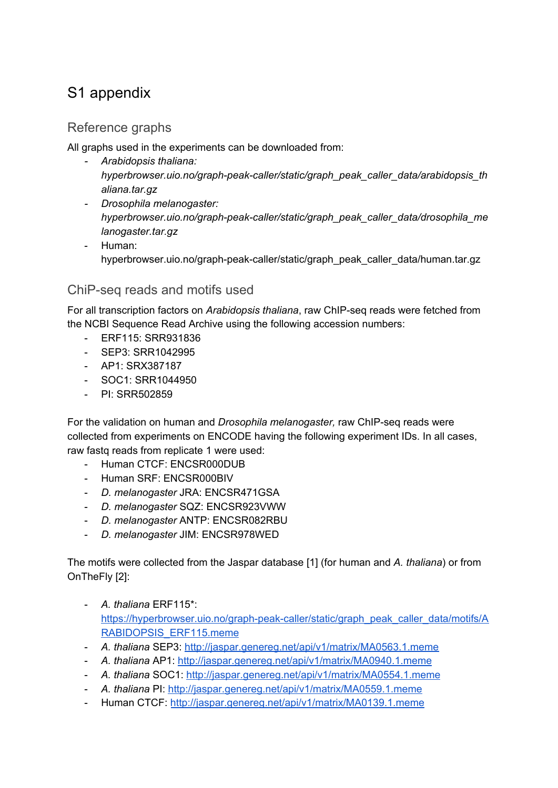## S1 appendix

## Reference graphs

All graphs used in the experiments can be downloaded from:

- *- Arabidopsis thaliana: hyperbrowser.uio.no/graph-peak-caller/static/graph\_peak\_caller\_data/arabidopsis\_th aliana.tar.gz*
- *- Drosophila melanogaster: hyperbrowser.uio.no/graph-peak-caller/static/graph\_peak\_caller\_data/drosophila\_me lanogaster.tar.gz*
- Human: hyperbrowser.uio.no/graph-peak-caller/static/graph\_peak\_caller\_data/human.tar.gz

## ChiP-seq reads and motifs used

For all transcription factors on *Arabidopsis thaliana*, raw ChIP-seq reads were fetched from the NCBI Sequence Read Archive using the following accession numbers:

- ERF115: SRR931836
- SEP3: SRR1042995
- AP1: SRX387187
- SOC1: SRR1044950
- PI: SRR502859

For the validation on human and *Drosophila melanogaster,* raw ChIP-seq reads were collected from experiments on ENCODE having the following experiment IDs. In all cases, raw fastq reads from replicate 1 were used:

- Human CTCF: ENCSR000DUB
- Human SRF: ENCSR000BIV
- *D. melanogaster* JRA: ENCSR471GSA
- *D. melanogaster* SQZ: ENCSR923VWW
- *D. melanogaster* ANTP: ENCSR082RBU
- *D. melanogaster* JIM: ENCSR978WED

The motifs were collected from the Jaspar database [1] (for human and *A. thaliana*) or from OnTheFly [2]:

- *A. thaliana* ERF115\*: [https://hyperbrowser.uio.no/graph-peak-caller/static/graph\\_peak\\_caller\\_data/motifs/A](https://hyperbrowser.uio.no/graph-peak-caller/static/graph_peak_caller_data/motifs/ARABIDOPSIS_ERF115.meme) [RABIDOPSIS\\_ERF115.meme](https://hyperbrowser.uio.no/graph-peak-caller/static/graph_peak_caller_data/motifs/ARABIDOPSIS_ERF115.meme)
- *A. thaliana* SEP3: <http://jaspar.genereg.net/api/v1/matrix/MA0563.1.meme>
- *A. thaliana* AP1: <http://jaspar.genereg.net/api/v1/matrix/MA0940.1.meme>
- *A. thaliana* SOC1: <http://jaspar.genereg.net/api/v1/matrix/MA0554.1.meme>
- *A. thaliana* PI: <http://jaspar.genereg.net/api/v1/matrix/MA0559.1.meme>
- Human CTCF: <http://jaspar.genereg.net/api/v1/matrix/MA0139.1.meme>